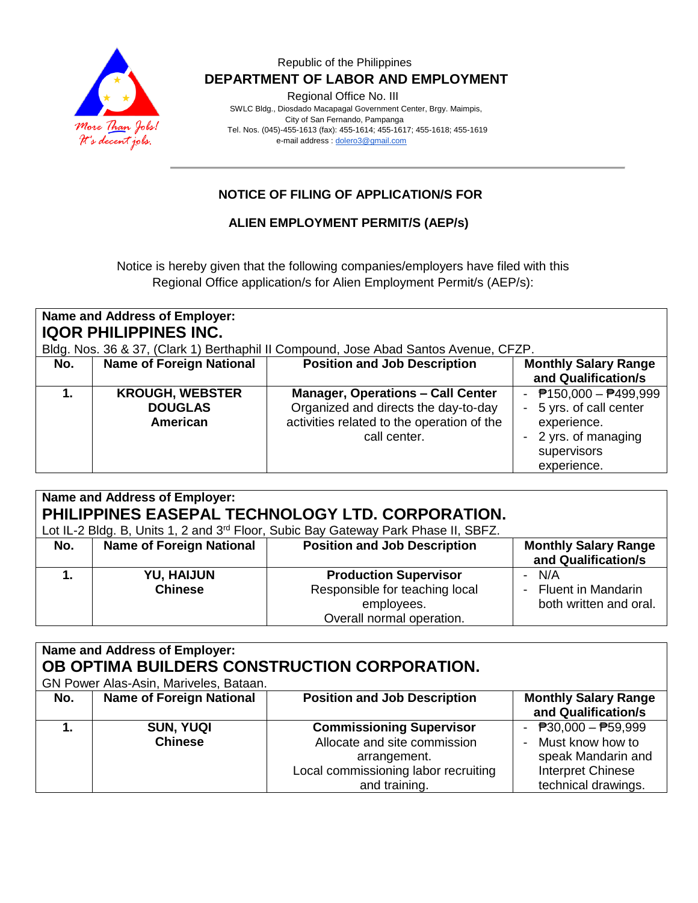

Regional Office No. III

 SWLC Bldg., Diosdado Macapagal Government Center, Brgy. Maimpis, City of San Fernando, Pampanga Tel. Nos. (045)-455-1613 (fax): 455-1614; 455-1617; 455-1618; 455-1619 e-mail address [: dolero3@gmail.com](mailto:dolero3@gmail.com)

# **NOTICE OF FILING OF APPLICATION/S FOR**

## **ALIEN EMPLOYMENT PERMIT/S (AEP/s)**

Notice is hereby given that the following companies/employers have filed with this Regional Office application/s for Alien Employment Permit/s (AEP/s):

| Name and Address of Employer:<br><b>IQOR PHILIPPINES INC.</b><br>Bldg. Nos. 36 & 37, (Clark 1) Berthaphil II Compound, Jose Abad Santos Avenue, CFZP. |                                                      |                                                                                                                                                |                                                                                                                       |
|-------------------------------------------------------------------------------------------------------------------------------------------------------|------------------------------------------------------|------------------------------------------------------------------------------------------------------------------------------------------------|-----------------------------------------------------------------------------------------------------------------------|
| No.                                                                                                                                                   | <b>Name of Foreign National</b>                      | <b>Position and Job Description</b>                                                                                                            | <b>Monthly Salary Range</b><br>and Qualification/s                                                                    |
|                                                                                                                                                       | <b>KROUGH, WEBSTER</b><br><b>DOUGLAS</b><br>American | <b>Manager, Operations - Call Center</b><br>Organized and directs the day-to-day<br>activities related to the operation of the<br>call center. | $P$ 150,000 - $P$ 499,999<br>5 yrs. of call center<br>experience.<br>2 yrs. of managing<br>supervisors<br>experience. |

| Name and Address of Employer:<br>PHILIPPINES EASEPAL TECHNOLOGY LTD. CORPORATION.<br>Lot IL-2 Bldg. B, Units 1, 2 and 3 <sup>rd</sup> Floor, Subic Bay Gateway Park Phase II, SBFZ. |                                     |                                                                                                           |                                                         |
|-------------------------------------------------------------------------------------------------------------------------------------------------------------------------------------|-------------------------------------|-----------------------------------------------------------------------------------------------------------|---------------------------------------------------------|
| No.                                                                                                                                                                                 | <b>Name of Foreign National</b>     | <b>Position and Job Description</b>                                                                       | <b>Monthly Salary Range</b><br>and Qualification/s      |
|                                                                                                                                                                                     | <b>YU, HAIJUN</b><br><b>Chinese</b> | <b>Production Supervisor</b><br>Responsible for teaching local<br>employees.<br>Overall normal operation. | - N/A<br>- Fluent in Mandarin<br>both written and oral. |

| Name and Address of Employer:                |                                 |                                      |                                             |  |
|----------------------------------------------|---------------------------------|--------------------------------------|---------------------------------------------|--|
| OB OPTIMA BUILDERS CONSTRUCTION CORPORATION. |                                 |                                      |                                             |  |
| GN Power Alas-Asin, Mariveles, Bataan.       |                                 |                                      |                                             |  |
| No.                                          | <b>Name of Foreign National</b> | <b>Position and Job Description</b>  | <b>Monthly Salary Range</b>                 |  |
|                                              |                                 |                                      | and Qualification/s                         |  |
|                                              | <b>SUN, YUQI</b>                | <b>Commissioning Supervisor</b>      | - $\overline{P}30,000 - \overline{P}59,999$ |  |
|                                              | <b>Chinese</b>                  | Allocate and site commission         | - Must know how to                          |  |
|                                              |                                 | arrangement.                         | speak Mandarin and                          |  |
|                                              |                                 | Local commissioning labor recruiting | Interpret Chinese                           |  |
|                                              |                                 | and training.                        | technical drawings.                         |  |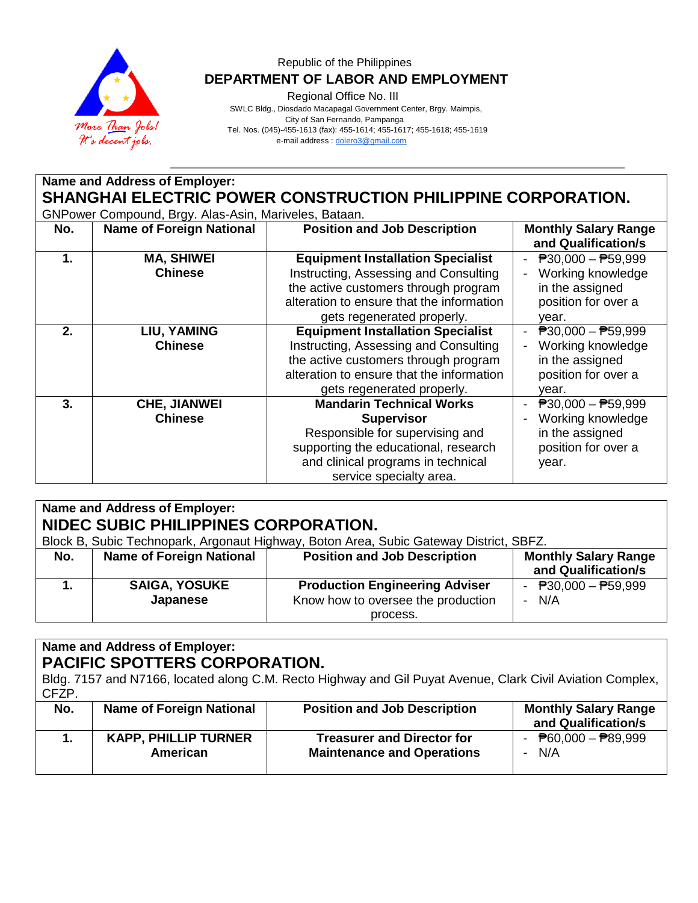

Regional Office No. III

 SWLC Bldg., Diosdado Macapagal Government Center, Brgy. Maimpis, City of San Fernando, Pampanga Tel. Nos. (045)-455-1613 (fax): 455-1614; 455-1617; 455-1618; 455-1619 e-mail address [: dolero3@gmail.com](mailto:dolero3@gmail.com)

**Name and Address of Employer: SHANGHAI ELECTRIC POWER CONSTRUCTION PHILIPPINE CORPORATION.**

GNPower Compound, Brgy. Alas-Asin, Mariveles, Bataan.

| No. | ັ<br><b>Name of Foreign National</b> | <b>Position and Job Description</b>       | <b>Monthly Salary Range</b><br>and Qualification/s |
|-----|--------------------------------------|-------------------------------------------|----------------------------------------------------|
| 1.  | <b>MA, SHIWEI</b>                    | <b>Equipment Installation Specialist</b>  | $\overline{P}30,000 - \overline{P}59,999$          |
|     | <b>Chinese</b>                       | Instructing, Assessing and Consulting     | Working knowledge                                  |
|     |                                      | the active customers through program      | in the assigned                                    |
|     |                                      | alteration to ensure that the information | position for over a                                |
|     |                                      | gets regenerated properly.                | vear.                                              |
| 2.  | LIU, YAMING                          | <b>Equipment Installation Specialist</b>  | $\overline{P}30,000 - \overline{P}59,999$          |
|     | <b>Chinese</b>                       | Instructing, Assessing and Consulting     | Working knowledge                                  |
|     |                                      | the active customers through program      | in the assigned                                    |
|     |                                      | alteration to ensure that the information | position for over a                                |
|     |                                      | gets regenerated properly.                | vear.                                              |
| 3.  | <b>CHE, JIANWEI</b>                  | <b>Mandarin Technical Works</b>           | $\overline{P}30,000 - \overline{P}59,999$          |
|     | <b>Chinese</b>                       | <b>Supervisor</b>                         | Working knowledge                                  |
|     |                                      | Responsible for supervising and           | in the assigned                                    |
|     |                                      | supporting the educational, research      | position for over a                                |
|     |                                      | and clinical programs in technical        | year.                                              |
|     |                                      | service specialty area.                   |                                                    |

| Name and Address of Employer:                                                          |                                 |                                       |                             |  |
|----------------------------------------------------------------------------------------|---------------------------------|---------------------------------------|-----------------------------|--|
| NIDEC SUBIC PHILIPPINES CORPORATION.                                                   |                                 |                                       |                             |  |
| Block B, Subic Technopark, Argonaut Highway, Boton Area, Subic Gateway District, SBFZ. |                                 |                                       |                             |  |
| No.                                                                                    | <b>Name of Foreign National</b> | <b>Position and Job Description</b>   | <b>Monthly Salary Range</b> |  |
|                                                                                        |                                 |                                       | and Qualification/s         |  |
|                                                                                        | <b>SAIGA, YOSUKE</b>            | <b>Production Engineering Adviser</b> | - $P30,000 - P59,999$       |  |
|                                                                                        | Japanese                        | Know how to oversee the production    | $- N/A$                     |  |
|                                                                                        |                                 | process.                              |                             |  |

# **Name and Address of Employer: PACIFIC SPOTTERS CORPORATION.**

Bldg. 7157 and N7166, located along C.M. Recto Highway and Gil Puyat Avenue, Clark Civil Aviation Complex, CFZP.

| No. | <b>Name of Foreign National</b> | <b>Position and Job Description</b> | <b>Monthly Salary Range</b><br>and Qualification/s |
|-----|---------------------------------|-------------------------------------|----------------------------------------------------|
|     | <b>KAPP, PHILLIP TURNER</b>     | <b>Treasurer and Director for</b>   | - $\overline{P}60,000 - \overline{P}89,999$        |
|     | American                        | <b>Maintenance and Operations</b>   | N/A                                                |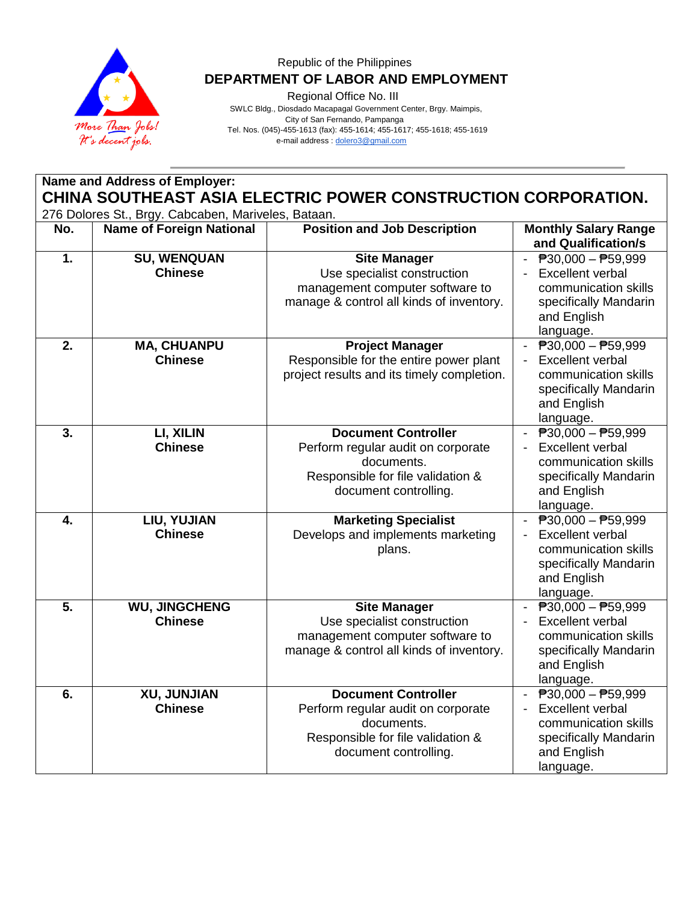

Regional Office No. III

 SWLC Bldg., Diosdado Macapagal Government Center, Brgy. Maimpis, City of San Fernando, Pampanga Tel. Nos. (045)-455-1613 (fax): 455-1614; 455-1617; 455-1618; 455-1619 e-mail address [: dolero3@gmail.com](mailto:dolero3@gmail.com)

| Name and Address of Employer:<br>CHINA SOUTHEAST ASIA ELECTRIC POWER CONSTRUCTION CORPORATION. |                                        |                                                                                                                                              |                                                                                                                                                    |  |
|------------------------------------------------------------------------------------------------|----------------------------------------|----------------------------------------------------------------------------------------------------------------------------------------------|----------------------------------------------------------------------------------------------------------------------------------------------------|--|
| 276 Dolores St., Brgy. Cabcaben, Mariveles, Bataan.                                            |                                        |                                                                                                                                              |                                                                                                                                                    |  |
| No.                                                                                            | <b>Name of Foreign National</b>        | <b>Position and Job Description</b>                                                                                                          | <b>Monthly Salary Range</b><br>and Qualification/s                                                                                                 |  |
| 1.                                                                                             | <b>SU, WENQUAN</b><br><b>Chinese</b>   | <b>Site Manager</b><br>Use specialist construction<br>management computer software to<br>manage & control all kinds of inventory.            | $ \overline{P}30,000 - \overline{P}59,999$<br><b>Excellent verbal</b><br>communication skills<br>specifically Mandarin<br>and English<br>language. |  |
| 2.                                                                                             | <b>MA, CHUANPU</b><br><b>Chinese</b>   | <b>Project Manager</b><br>Responsible for the entire power plant<br>project results and its timely completion.                               | ₱30,000 - ₱59,999<br><b>Excellent verbal</b><br>communication skills<br>specifically Mandarin<br>and English<br>language.                          |  |
| 3.                                                                                             | LI, XILIN<br><b>Chinese</b>            | <b>Document Controller</b><br>Perform regular audit on corporate<br>documents.<br>Responsible for file validation &<br>document controlling. | ₱30,000 - ₱59,999<br><b>Excellent verbal</b><br>$\blacksquare$<br>communication skills<br>specifically Mandarin<br>and English<br>language.        |  |
| 4.                                                                                             | LIU, YUJIAN<br><b>Chinese</b>          | <b>Marketing Specialist</b><br>Develops and implements marketing<br>plans.                                                                   | $\overline{P}30,000 - \overline{P}59,999$<br>Excellent verbal<br>communication skills<br>specifically Mandarin<br>and English<br>language.         |  |
| 5.                                                                                             | <b>WU, JINGCHENG</b><br><b>Chinese</b> | <b>Site Manager</b><br>Use specialist construction<br>management computer software to<br>manage & control all kinds of inventory.            | $P30,000 - P59,999$<br>Excellent verbal<br>communication skills<br>specifically Mandarin<br>and English<br>language.                               |  |
| 6.                                                                                             | XU, JUNJIAN<br><b>Chinese</b>          | <b>Document Controller</b><br>Perform regular audit on corporate<br>documents.<br>Responsible for file validation &<br>document controlling. | ₱30,000 - ₱59,999<br><b>Excellent verbal</b><br>communication skills<br>specifically Mandarin<br>and English<br>language.                          |  |